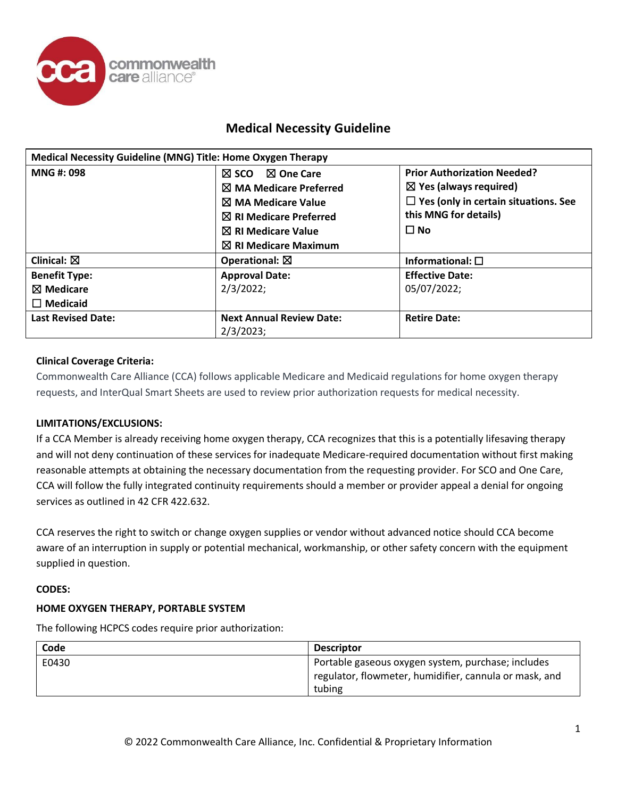

| Medical Necessity Guideline (MNG) Title: Home Oxygen Therapy |                                         |                                             |
|--------------------------------------------------------------|-----------------------------------------|---------------------------------------------|
| <b>MNG#: 098</b>                                             | $\boxtimes$ One Care<br>$\boxtimes$ sco | <b>Prior Authorization Needed?</b>          |
|                                                              | $\boxtimes$ MA Medicare Preferred       | $\boxtimes$ Yes (always required)           |
|                                                              | $\boxtimes$ MA Medicare Value           | $\Box$ Yes (only in certain situations. See |
|                                                              | $\boxtimes$ RI Medicare Preferred       | this MNG for details)                       |
|                                                              | $\boxtimes$ RI Medicare Value           | $\Box$ No                                   |
|                                                              | $\boxtimes$ RI Medicare Maximum         |                                             |
| Clinical: $\boxtimes$                                        | Operational: $\boxtimes$                | Informational: $\square$                    |
| <b>Benefit Type:</b>                                         | <b>Approval Date:</b>                   | <b>Effective Date:</b>                      |
| $\boxtimes$ Medicare                                         | 2/3/2022;                               | 05/07/2022;                                 |
| $\Box$ Medicaid                                              |                                         |                                             |
| <b>Last Revised Date:</b>                                    | <b>Next Annual Review Date:</b>         | <b>Retire Date:</b>                         |
|                                                              | $2/3/2023$ ;                            |                                             |

## **Clinical Coverage Criteria:**

Commonwealth Care Alliance (CCA) follows applicable Medicare and Medicaid regulations for home oxygen therapy requests, and InterQual Smart Sheets are used to review prior authorization requests for medical necessity.

## **LIMITATIONS/EXCLUSIONS:**

If a CCA Member is already receiving home oxygen therapy, CCA recognizes that this is a potentially lifesaving therapy and will not deny continuation of these services for inadequate Medicare-required documentation without first making reasonable attempts at obtaining the necessary documentation from the requesting provider. For SCO and One Care, CCA will follow the fully integrated continuity requirements should a member or provider appeal a denial for ongoing services as outlined in 42 CFR 422.632.

CCA reserves the right to switch or change oxygen supplies or vendor without advanced notice should CCA become aware of an interruption in supply or potential mechanical, workmanship, or other safety concern with the equipment supplied in question.

## **CODES:**

## **HOME OXYGEN THERAPY, PORTABLE SYSTEM**

The following HCPCS codes require prior authorization:

| Code  | <b>Descriptor</b>                                      |
|-------|--------------------------------------------------------|
| E0430 | Portable gaseous oxygen system, purchase; includes     |
|       | regulator, flowmeter, humidifier, cannula or mask, and |
|       | tubing                                                 |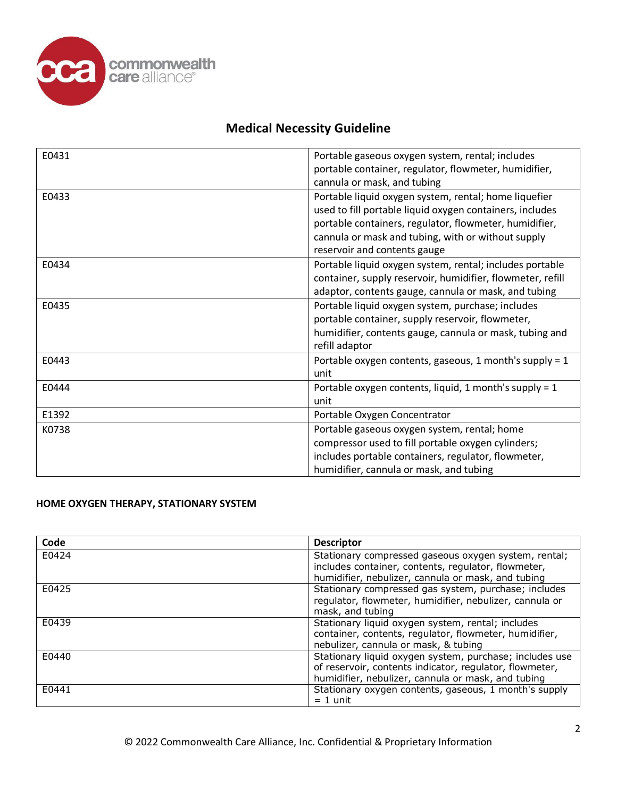

| E0431 | Portable gaseous oxygen system, rental; includes           |
|-------|------------------------------------------------------------|
|       | portable container, regulator, flowmeter, humidifier,      |
|       | cannula or mask, and tubing                                |
| E0433 | Portable liquid oxygen system, rental; home liquefier      |
|       | used to fill portable liquid oxygen containers, includes   |
|       | portable containers, regulator, flowmeter, humidifier,     |
|       | cannula or mask and tubing, with or without supply         |
|       | reservoir and contents gauge                               |
| E0434 | Portable liquid oxygen system, rental; includes portable   |
|       | container, supply reservoir, humidifier, flowmeter, refill |
|       | adaptor, contents gauge, cannula or mask, and tubing       |
| E0435 | Portable liquid oxygen system, purchase; includes          |
|       | portable container, supply reservoir, flowmeter,           |
|       | humidifier, contents gauge, cannula or mask, tubing and    |
|       | refill adaptor                                             |
| E0443 | Portable oxygen contents, gaseous, 1 month's supply = 1    |
|       | unit                                                       |
| E0444 | Portable oxygen contents, liquid, 1 month's supply = 1     |
|       | unit                                                       |
| E1392 | Portable Oxygen Concentrator                               |
| K0738 | Portable gaseous oxygen system, rental; home               |
|       | compressor used to fill portable oxygen cylinders;         |
|       | includes portable containers, regulator, flowmeter,        |
|       | humidifier, cannula or mask, and tubing                    |

## **HOME OXYGEN THERAPY, STATIONARY SYSTEM**

| Code  | <b>Descriptor</b>                                                                                                                                                        |
|-------|--------------------------------------------------------------------------------------------------------------------------------------------------------------------------|
| E0424 | Stationary compressed gaseous oxygen system, rental;<br>includes container, contents, regulator, flowmeter,                                                              |
| E0425 | humidifier, nebulizer, cannula or mask, and tubing                                                                                                                       |
|       | Stationary compressed gas system, purchase; includes<br>regulator, flowmeter, humidifier, nebulizer, cannula or<br>mask, and tubing                                      |
| E0439 | Stationary liquid oxygen system, rental; includes<br>container, contents, regulator, flowmeter, humidifier,<br>nebulizer, cannula or mask, & tubing                      |
| E0440 | Stationary liquid oxygen system, purchase; includes use<br>of reservoir, contents indicator, regulator, flowmeter,<br>humidifier, nebulizer, cannula or mask, and tubing |
| E0441 | Stationary oxygen contents, gaseous, 1 month's supply<br>$= 1$ unit                                                                                                      |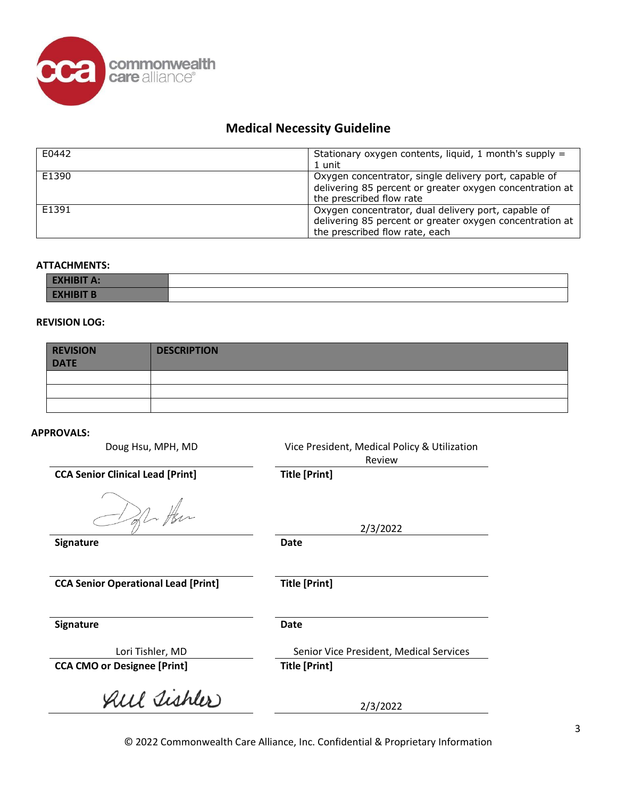

| F0442 | Stationary oxygen contents, liquid, 1 month's supply =<br>1 unit                                                                                  |
|-------|---------------------------------------------------------------------------------------------------------------------------------------------------|
| F1390 | Oxygen concentrator, single delivery port, capable of<br>delivering 85 percent or greater oxygen concentration at<br>the prescribed flow rate     |
| F1391 | Oxygen concentrator, dual delivery port, capable of<br>delivering 85 percent or greater oxygen concentration at<br>the prescribed flow rate, each |

#### **ATTACHMENTS:**

| EXHIBII A:                  |  |
|-----------------------------|--|
| <b>TIBIT B.</b><br>-------- |  |

### **REVISION LOG:**

| <b>REVISION</b><br><b>DATE</b> | <b>DESCRIPTION</b> |
|--------------------------------|--------------------|
|                                |                    |
|                                |                    |
|                                |                    |

#### **APPROVALS:**

Doug Hsu, MPH, MD Vice President, Medical Policy & Utilization Review

2/3/2022

**CCA Senior Clinical Lead [Print] Title [Print]** 

offer Her

**Signature Date**

**CCA Senior Operational Lead [Print] Title [Print]**

**Signature Date**

Lori Tishler, MD Senior Vice President, Medical Services

**CCA CMO or Designee [Print] Title [Print]**

All Tishler

2/3/2022

© 2022 Commonwealth Care Alliance, Inc. Confidential & Proprietary Information